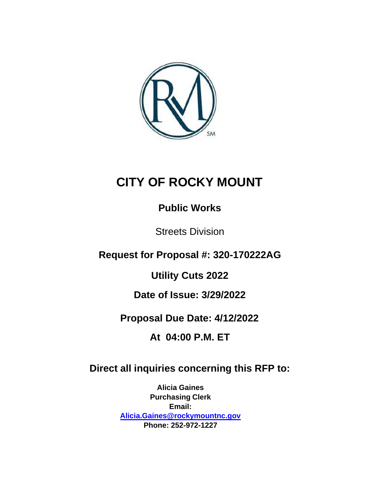

# **CITY OF ROCKY MOUNT**

## **Public Works**

Streets Division

**Request for Proposal #: 320-170222AG**

**Utility Cuts 2022**

**Date of Issue: 3/29/2022**

**Proposal Due Date: 4/12/2022**

**At 04:00 P.M. ET**

## **Direct all inquiries concerning this RFP to:**

**Alicia Gaines Purchasing Clerk Email: [Alicia.Gaines@rockymountnc.gov](mailto:Alicia.Gaines@rockymountnc.gov) Phone: 252-972-1227**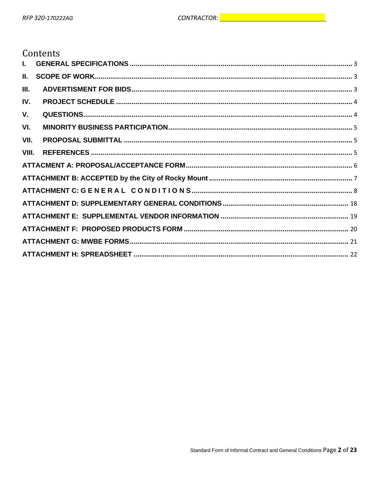## Contents

| Ш.    |  |
|-------|--|
| III.  |  |
| IV.   |  |
| V.    |  |
| VI.   |  |
| VII.  |  |
| VIII. |  |
|       |  |
|       |  |
|       |  |
|       |  |
|       |  |
|       |  |
|       |  |
|       |  |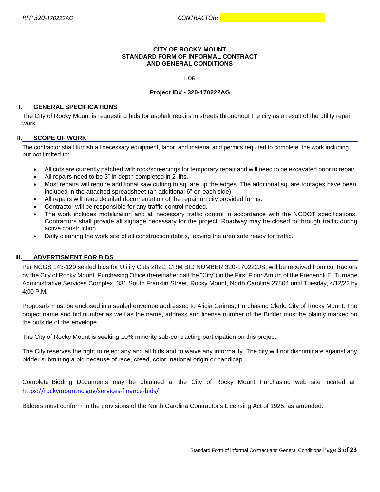#### **CITY OF ROCKY MOUNT STANDARD FORM OF INFORMAL CONTRACT AND GENERAL CONDITIONS**

FOR

#### **Project ID# - 320-170222AG**

#### <span id="page-2-0"></span>**I. GENERAL SPECIFICATIONS**

The City of Rocky Mount is requesting bids for asphalt repairs in streets throughout the city as a result of the utility repair work.

#### <span id="page-2-1"></span>**II. SCOPE OF WORK**

The contractor shall furnish all necessary equipment, labor, and material and permits required to complete the work including but not limited to:

- All cuts are currently patched with rock/screenings for temporary repair and will need to be excavated prior to repair.
- All repairs need to be 3" in depth completed in 2 lifts.
- Most repairs will require additional saw cutting to square up the edges. The additional square footages have been included in the attached spreadsheet (an additional 6" on each side).
- All repairs will need detailed documentation of the repair on city provided forms.
- Contractor will be responsible for any traffic control needed.
- The work includes mobilization and all necessary traffic control in accordance with the NCDOT specifications. Contractors shall provide all signage necessary for the project. Roadway may be closed to through traffic during active construction.
- Daily cleaning the work site of all construction debris, leaving the area safe ready for traffic.

### <span id="page-2-2"></span>**III. ADVERTISMENT FOR BIDS**

Per NCGS 143-129 sealed bids for Utility Cuts 2022, CRM BID NUMBER 320-170222JS, will be received from contractors by the City of Rocky Mount, Purchasing Office (hereinafter call the "City") in the First Floor Atrium of the Frederick E. Turnage Administrative Services Complex, 331 South Franklin Street, Rocky Mount, North Carolina 27804 until Tuesday, 4/12/22 by 4:00 P.M.

Proposals must be enclosed in a sealed envelope addressed to Alicia Gaines, Purchasing Clerk, City of Rocky Mount. The project name and bid number as well as the name, address and license number of the Bidder must be plainly marked on the outside of the envelope.

The City of Rocky Mount is seeking 10% minority sub-contracting participation on this project.

The City reserves the right to reject any and all bids and to waive any informality. The city will not discriminate against any bidder submitting a bid because of race, creed, color, national origin or handicap.

Complete Bidding Documents may be obtained at the City of Rocky Mount Purchasing web site located at <https://rockymountnc.gov/services-finance-bids/>

Bidders must conform to the provisions of the North Carolina Contractor's Licensing Act of 1925, as amended.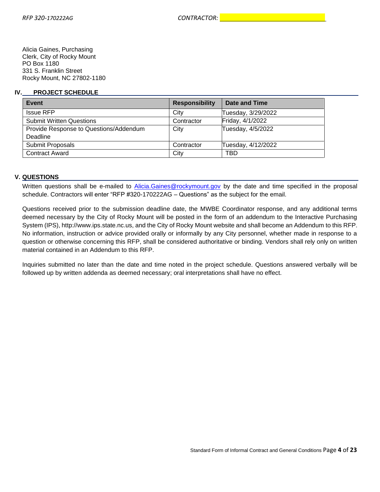Alicia Gaines, Purchasing Clerk, City of Rocky Mount PO Box 1180 331 S. Franklin Street Rocky Mount, NC 27802-1180

#### <span id="page-3-0"></span>**IV. PROJECT SCHEDULE**

| Event                                  | <b>Responsibility</b> | Date and Time      |
|----------------------------------------|-----------------------|--------------------|
| <b>Issue RFP</b>                       | City                  | Tuesday, 3/29/2022 |
| <b>Submit Written Questions</b>        | Contractor            | Friday, 4/1/2022   |
| Provide Response to Questions/Addendum | City                  | Tuesday, 4/5/2022  |
| Deadline                               |                       |                    |
| Submit Proposals                       | Contractor            | Tuesday, 4/12/2022 |
| <b>Contract Award</b>                  | City                  | TBD                |

#### **V. QUESTIONS**

Written questions shall be e-mailed to [Alicia.Gaines@rockymount.gov](mailto:Alicia.Gaines@rockymount.gov) by the date and time specified in the proposal schedule. Contractors will enter "RFP #320-170222AG – Questions" as the subject for the email.

Questions received prior to the submission deadline date, the MWBE Coordinator response, and any additional terms deemed necessary by the City of Rocky Mount will be posted in the form of an addendum to the Interactive Purchasing System (IPS), [http://www.ips.state.nc.us,](http://www.ips.state.nc.us/) and the City of Rocky Mount website and shall become an Addendum to this RFP. No information, instruction or advice provided orally or informally by any City personnel, whether made in response to a question or otherwise concerning this RFP, shall be considered authoritative or binding. Vendors shall rely only on written material contained in an Addendum to this RFP.

Inquiries submitted no later than the date and time noted in the project schedule. Questions answered verbally will be followed up by written addenda as deemed necessary; oral interpretations shall have no effect.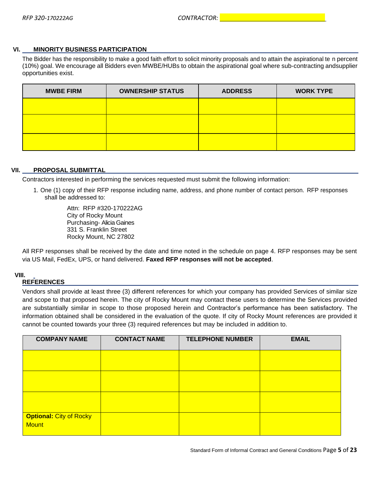## <span id="page-4-0"></span>**VI. MINORITY BUSINESS PARTICIPATION**

The Bidder has the responsibility to make a good faith effort to solicit minority proposals and to attain the aspirational te n percent (10%) goal. We encourage all Bidders even MWBE/HUBs to obtain the aspirational goal where sub-contracting andsupplier opportunities exist.

| <b>MWBE FIRM</b> | <b>OWNERSHIP STATUS</b> | <b>ADDRESS</b> | <b>WORK TYPE</b> |
|------------------|-------------------------|----------------|------------------|
|                  |                         |                |                  |
|                  |                         |                |                  |
|                  |                         |                |                  |

#### <span id="page-4-1"></span>**VII. PROPOSAL SUBMITTAL**

Contractors interested in performing the services requested must submit the following information:

1. One (1) copy of their RFP response including name, address, and phone number of contact person. RFP responses shall be addressed to:

> Attn: RFP #320-170222AG City of Rocky Mount Purchasing- Alicia Gaines 331 S. Franklin Street Rocky Mount, NC 27802

All RFP responses shall be received by the date and time noted in the schedule on page 4. RFP responses may be sent via US Mail, FedEx, UPS, or hand delivered. **Faxed RFP responses will not be accepted**.

### <span id="page-4-2"></span>**VIII.**

### **REFERENCES**

Vendors shall provide at least three (3) different references for which your company has provided Services of similar size and scope to that proposed herein. The city of Rocky Mount may contact these users to determine the Services provided are substantially similar in scope to those proposed herein and Contractor's performance has been satisfactory. The information obtained shall be considered in the evaluation of the quote. If city of Rocky Mount references are provided it cannot be counted towards your three (3) required references but may be included in addition to.

| <b>COMPANY NAME</b>                            | <b>CONTACT NAME</b> | <b>TELEPHONE NUMBER</b> | <b>EMAIL</b> |
|------------------------------------------------|---------------------|-------------------------|--------------|
|                                                |                     |                         |              |
|                                                |                     |                         |              |
|                                                |                     |                         |              |
| <b>Optional: City of Rocky</b><br><b>Mount</b> |                     |                         |              |

Standard Form of Informal Contract and General Conditions Page **5** of **23**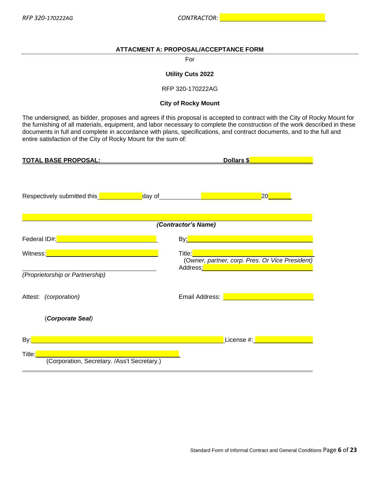## <span id="page-5-0"></span>**ATTACMENT A: PROPOSAL/ACCEPTANCE FORM**

#### For

#### **Utility Cuts 2022**

RFP 320-170222AG

#### **City of Rocky Mount**

The undersigned, as bidder, proposes and agrees if this proposal is accepted to contract with the City of Rocky Mount for the furnishing of all materials, equipment, and labor necessary to complete the construction of the work described in these documents in full and complete in accordance with plans, specifications, and contract documents, and to the full and entire satisfaction of the City of Rocky Mount for the sum of:

| <u>TOTAL BASE PROPOSAL:</u>                                                                                                                                                                                                          | Dollars \$                                                                                                                                                                                                                           |
|--------------------------------------------------------------------------------------------------------------------------------------------------------------------------------------------------------------------------------------|--------------------------------------------------------------------------------------------------------------------------------------------------------------------------------------------------------------------------------------|
| Respectively submitted this <b>example 2 and 2 years of the contract of the contract of the contract of the contract of the contract of the contract of the contract of the contract of the contract of the contract of the cont</b> | 20                                                                                                                                                                                                                                   |
|                                                                                                                                                                                                                                      | (Contractor's Name)                                                                                                                                                                                                                  |
| Federal ID#: Note: Note: Note: Note: Note: Note: Note: Note: Note: Note: Note: No                                                                                                                                                    |                                                                                                                                                                                                                                      |
| Witness: Witness: Witness and Witness and Witness and Witness and Witness and Witness and Witness and Witness                                                                                                                        | Title:<br>(Owner, partner, corp. Pres. Or Vice President)<br>Address: Andreas Address: Andreas Address: Andreas Address: Address: Address: Address: Address: Address: Address: A                                                     |
| (Proprietorship or Partnership)                                                                                                                                                                                                      |                                                                                                                                                                                                                                      |
| Attest: (corporation)                                                                                                                                                                                                                | Email Address: <b>Exercísion Contract Contract Contract Contract Contract Contract Contract Contract Contract Contract Contract Contract Contract Contract Contract Contract Contract Contract Contract Contract Contract Contra</b> |
| (Corporate Seal)                                                                                                                                                                                                                     |                                                                                                                                                                                                                                      |
| By: <mark>_</mark>                                                                                                                                                                                                                   | License #: New York 100                                                                                                                                                                                                              |
| Title:                                                                                                                                                                                                                               |                                                                                                                                                                                                                                      |
| (Corporation, Secretary. /Ass't Secretary.)                                                                                                                                                                                          |                                                                                                                                                                                                                                      |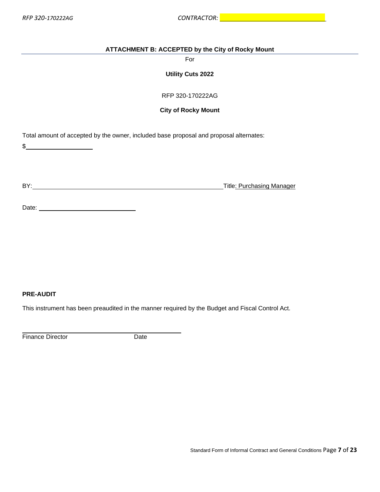## <span id="page-6-0"></span>**ATTACHMENT B: ACCEPTED by the City of Rocky Mount**

For

**Utility Cuts 2022**

RFP 320-170222AG

## **City of Rocky Mount**

Total amount of accepted by the owner, included base proposal and proposal alternates:

 $\frac{1}{2}$ 

BY: Title: Purchasing Manager

| Date: |  |
|-------|--|
|       |  |

## **PRE-AUDIT**

This instrument has been preaudited in the manner required by the Budget and Fiscal Control Act.

Finance Director Date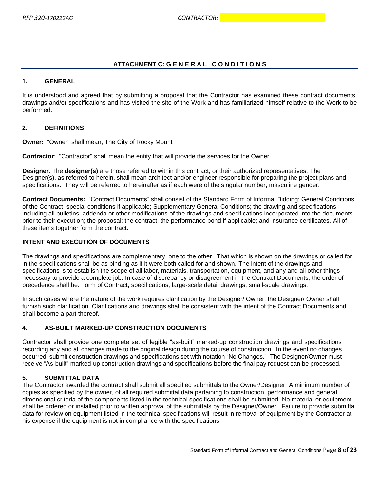## <span id="page-7-0"></span>**ATTACHMENT C: G E N E R A L C O N D I T I O N S**

### **1. GENERAL**

It is understood and agreed that by submitting a proposal that the Contractor has examined these contract documents, drawings and/or specifications and has visited the site of the Work and has familiarized himself relative to the Work to be performed.

## **2. DEFINITIONS**

**Owner:** "Owner" shall mean, The City of Rocky Mount

**Contractor**: "Contractor" shall mean the entity that will provide the services for the Owner.

**Designer**: The **designer(s)** are those referred to within this contract, or their authorized representatives. The Designer(s), as referred to herein, shall mean architect and/or engineer responsible for preparing the project plans and specifications. They will be referred to hereinafter as if each were of the singular number, masculine gender.

**Contract Documents:** "Contract Documents" shall consist of the Standard Form of Informal Bidding; General Conditions of the Contract; special conditions if applicable; Supplementary General Conditions; the drawing and specifications, including all bulletins, addenda or other modifications of the drawings and specifications incorporated into the documents prior to their execution; the proposal; the contract; the performance bond if applicable; and insurance certificates. All of these items together form the contract.

## **INTENT AND EXECUTION OF DOCUMENTS**

The drawings and specifications are complementary, one to the other. That which is shown on the drawings or called for in the specifications shall be as binding as if it were both called for and shown. The intent of the drawings and specifications is to establish the scope of all labor, materials, transportation, equipment, and any and all other things necessary to provide a complete job. In case of discrepancy or disagreement in the Contract Documents, the order of precedence shall be: Form of Contract, specifications, large-scale detail drawings, small-scale drawings.

In such cases where the nature of the work requires clarification by the Designer/ Owner, the Designer/ Owner shall furnish such clarification. Clarifications and drawings shall be consistent with the intent of the Contract Documents and shall become a part thereof.

## **4. AS-BUILT MARKED-UP CONSTRUCTION DOCUMENTS**

Contractor shall provide one complete set of legible "as-built" marked-up construction drawings and specifications recording any and all changes made to the original design during the course of construction. In the event no changes occurred, submit construction drawings and specifications set with notation "No Changes." The Designer/Owner must receive "As-built" marked-up construction drawings and specifications before the final pay request can be processed.

### **5. SUBMITTAL DATA**

The Contractor awarded the contract shall submit all specified submittals to the Owner/Designer. A minimum number of copies as specified by the owner, of all required submittal data pertaining to construction, performance and general dimensional criteria of the components listed in the technical specifications shall be submitted. No material or equipment shall be ordered or installed prior to written approval of the submittals by the Designer/Owner. Failure to provide submittal data for review on equipment listed in the technical specifications will result in removal of equipment by the Contractor at his expense if the equipment is not in compliance with the specifications.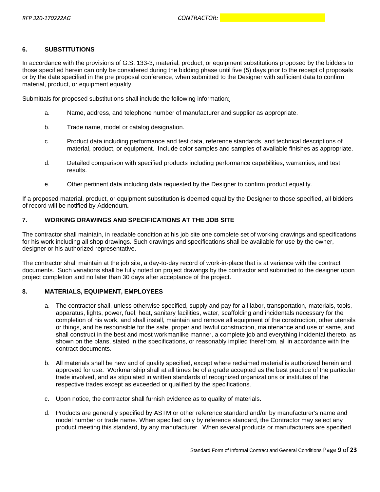## **6. SUBSTITUTIONS**

In accordance with the provisions of G.S. 133-3, material, product, or equipment substitutions proposed by the bidders to those specified herein can only be considered during the bidding phase until five (5) days prior to the receipt of proposals or by the date specified in the pre proposal conference, when submitted to the Designer with sufficient data to confirm material, product, or equipment equality.

Submittals for proposed substitutions shall include the following information:

- a. Name, address, and telephone number of manufacturer and supplier as appropriate.
- b. Trade name, model or catalog designation.
- c. Product data including performance and test data, reference standards, and technical descriptions of material, product, or equipment. Include color samples and samples of available finishes as appropriate.
- d. Detailed comparison with specified products including performance capabilities, warranties, and test results.
- e. Other pertinent data including data requested by the Designer to confirm product equality.

If a proposed material, product, or equipment substitution is deemed equal by the Designer to those specified, all bidders of record will be notified by Addendum*.*

## **7. WORKING DRAWINGS AND SPECIFICATIONS AT THE JOB SITE**

The contractor shall maintain, in readable condition at his job site one complete set of working drawings and specifications for his work including all shop drawings. Such drawings and specifications shall be available for use by the owner, designer or his authorized representative.

The contractor shall maintain at the job site, a day-to-day record of work-in-place that is at variance with the contract documents. Such variations shall be fully noted on project drawings by the contractor and submitted to the designer upon project completion and no later than 30 days after acceptance of the project.

### **8. MATERIALS, EQUIPMENT, EMPLOYEES**

- a. The contractor shall, unless otherwise specified, supply and pay for all labor, transportation, materials, tools, apparatus, lights, power, fuel, heat, sanitary facilities, water, scaffolding and incidentals necessary for the completion of his work, and shall install, maintain and remove all equipment of the construction, other utensils or things, and be responsible for the safe, proper and lawful construction, maintenance and use of same, and shall construct in the best and most workmanlike manner, a complete job and everything incidental thereto, as shown on the plans, stated in the specifications, or reasonably implied therefrom, all in accordance with the contract documents.
- b. All materials shall be new and of quality specified, except where reclaimed material is authorized herein and approved for use. Workmanship shall at all times be of a grade accepted as the best practice of the particular trade involved, and as stipulated in written standards of recognized organizations or institutes of the respective trades except as exceeded or qualified by the specifications.
- c. Upon notice, the contractor shall furnish evidence as to quality of materials.
- d. Products are generally specified by ASTM or other reference standard and/or by manufacturer's name and model number or trade name. When specified only by reference standard, the Contractor may select any product meeting this standard, by any manufacturer. When several products or manufacturers are specified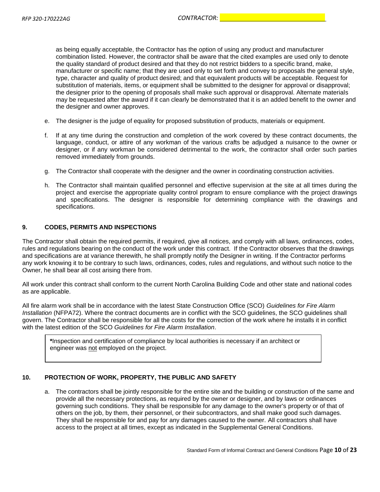as being equally acceptable, the Contractor has the option of using any product and manufacturer combination listed. However, the contractor shall be aware that the cited examples are used only to denote the quality standard of product desired and that they do not restrict bidders to a specific brand, make, manufacturer or specific name; that they are used only to set forth and convey to proposals the general style, type, character and quality of product desired; and that equivalent products will be acceptable. Request for substitution of materials, items, or equipment shall be submitted to the designer for approval or disapproval; the designer prior to the opening of proposals shall make such approval or disapproval. Alternate materials may be requested after the award if it can clearly be demonstrated that it is an added benefit to the owner and the designer and owner approves.

- e. The designer is the judge of equality for proposed substitution of products, materials or equipment.
- f. If at any time during the construction and completion of the work covered by these contract documents, the language, conduct, or attire of any workman of the various crafts be adjudged a nuisance to the owner or designer, or if any workman be considered detrimental to the work, the contractor shall order such parties removed immediately from grounds.
- g. The Contractor shall cooperate with the designer and the owner in coordinating construction activities.
- h. The Contractor shall maintain qualified personnel and effective supervision at the site at all times during the project and exercise the appropriate quality control program to ensure compliance with the project drawings and specifications. The designer is responsible for determining compliance with the drawings and specifications.

#### **9. CODES, PERMITS AND INSPECTIONS**

The Contractor shall obtain the required permits, if required, give all notices, and comply with all laws, ordinances, codes, rules and regulations bearing on the conduct of the work under this contract. If the Contractor observes that the drawings and specifications are at variance therewith, he shall promptly notify the Designer in writing. If the Contractor performs any work knowing it to be contrary to such laws, ordinances, codes, rules and regulations, and without such notice to the Owner, he shall bear all cost arising there from.

All work under this contract shall conform to the current North Carolina Building Code and other state and national codes as are applicable.

All fire alarm work shall be in accordance with the latest State Construction Office (SCO) *Guidelines for Fire Alarm Installation* (NFPA72). Where the contract documents are in conflict with the SCO guidelines, the SCO guidelines shall govern. The Contractor shall be responsible for all the costs for the correction of the work where he installs it in conflict with the latest edition of the SCO *Guidelines for Fire Alarm Installation*.

**\***Inspection and certification of compliance by local authorities is necessary if an architect or engineer was not employed on the project.

### **10. PROTECTION OF WORK, PROPERTY, THE PUBLIC AND SAFETY**

a. The contractors shall be jointly responsible for the entire site and the building or construction of the same and provide all the necessary protections, as required by the owner or designer, and by laws or ordinances governing such conditions. They shall be responsible for any damage to the owner's property or of that of others on the job, by them, their personnel, or their subcontractors, and shall make good such damages. They shall be responsible for and pay for any damages caused to the owner. All contractors shall have access to the project at all times, except as indicated in the Supplemental General Conditions.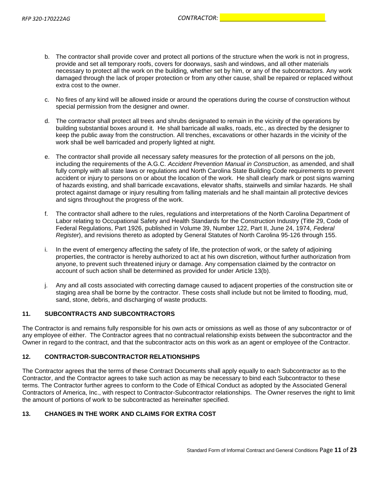- b. The contractor shall provide cover and protect all portions of the structure when the work is not in progress, provide and set all temporary roofs, covers for doorways, sash and windows, and all other materials necessary to protect all the work on the building, whether set by him, or any of the subcontractors. Any work damaged through the lack of proper protection or from any other cause, shall be repaired or replaced without extra cost to the owner.
- c. No fires of any kind will be allowed inside or around the operations during the course of construction without special permission from the designer and owner.
- d. The contractor shall protect all trees and shrubs designated to remain in the vicinity of the operations by building substantial boxes around it. He shall barricade all walks, roads, etc., as directed by the designer to keep the public away from the construction. All trenches, excavations or other hazards in the vicinity of the work shall be well barricaded and properly lighted at night.
- e. The contractor shall provide all necessary safety measures for the protection of all persons on the job, including the requirements of the A.G.C. *Accident Prevention Manual in Construction*, as amended, and shall fully comply with all state laws or regulations and North Carolina State Building Code requirements to prevent accident or injury to persons on or about the location of the work. He shall clearly mark or post signs warning of hazards existing, and shall barricade excavations, elevator shafts, stairwells and similar hazards. He shall protect against damage or injury resulting from falling materials and he shall maintain all protective devices and signs throughout the progress of the work.
- f. The contractor shall adhere to the rules, regulations and interpretations of the North Carolina Department of Labor relating to Occupational Safety and Health Standards for the Construction Industry (Title 29, Code of Federal Regulations, Part 1926, published in Volume 39, Number 122, Part II, June 24, 1974, *Federal Register*), and revisions thereto as adopted by General Statutes of North Carolina 95-126 through 155.
- i. In the event of emergency affecting the safety of life, the protection of work, or the safety of adjoining properties, the contractor is hereby authorized to act at his own discretion, without further authorization from anyone, to prevent such threatened injury or damage. Any compensation claimed by the contractor on account of such action shall be determined as provided for under Article 13(b).
- j. Any and all costs associated with correcting damage caused to adjacent properties of the construction site or staging area shall be borne by the contractor. These costs shall include but not be limited to flooding, mud, sand, stone, debris, and discharging of waste products.

### **11. SUBCONTRACTS AND SUBCONTRACTORS**

The Contractor is and remains fully responsible for his own acts or omissions as well as those of any subcontractor or of any employee of either. The Contractor agrees that no contractual relationship exists between the subcontractor and the Owner in regard to the contract, and that the subcontractor acts on this work as an agent or employee of the Contractor.

### **12. CONTRACTOR-SUBCONTRACTOR RELATIONSHIPS**

The Contractor agrees that the terms of these Contract Documents shall apply equally to each Subcontractor as to the Contractor, and the Contractor agrees to take such action as may be necessary to bind each Subcontractor to these terms. The Contractor further agrees to conform to the Code of Ethical Conduct as adopted by the Associated General Contractors of America, Inc., with respect to Contractor-Subcontractor relationships. The Owner reserves the right to limit the amount of portions of work to be subcontracted as hereinafter specified.

## **13. CHANGES IN THE WORK AND CLAIMS FOR EXTRA COST**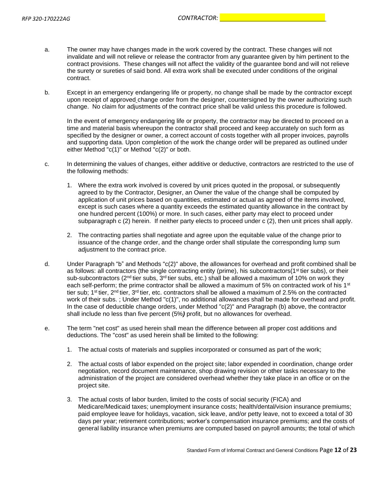- a. The owner may have changes made in the work covered by the contract. These changes will not invalidate and will not relieve or release the contractor from any guarantee given by him pertinent to the contract provisions. These changes will not affect the validity of the guarantee bond and will not relieve the surety or sureties of said bond. All extra work shall be executed under conditions of the original contract.
- b. Except in an emergency endangering life or property, no change shall be made by the contractor except upon receipt of approved change order from the designer, countersigned by the owner authorizing such change. No claim for adjustments of the contract price shall be valid unless this procedure is followed.

In the event of emergency endangering life or property, the contractor may be directed to proceed on a time and material basis whereupon the contractor shall proceed and keep accurately on such form as specified by the designer or owner, a correct account of costs together with all proper invoices, payrolls and supporting data. Upon completion of the work the change order will be prepared as outlined under either Method "c(1)" or Method "c(2)" or both.

- c. In determining the values of changes, either additive or deductive, contractors are restricted to the use of the following methods:
	- 1. Where the extra work involved is covered by unit prices quoted in the proposal, or subsequently agreed to by the Contractor, Designer, an Owner the value of the change shall be computed by application of unit prices based on quantities, estimated or actual as agreed of the items involved, except is such cases where a quantity exceeds the estimated quantity allowance in the contract by one hundred percent (100%) or more. In such cases, either party may elect to proceed under subparagraph c (2) herein. If neither party elects to proceed under c (2), then unit prices shall apply.
	- 2. The contracting parties shall negotiate and agree upon the equitable value of the change prior to issuance of the change order, and the change order shall stipulate the corresponding lump sum adjustment to the contract price.
- d. Under Paragraph "b" and Methods "c(2)" above, the allowances for overhead and profit combined shall be as follows: all contractors (the single contracting entity (prime), his subcontractors(1<sup>st</sup> tier subs), or their sub-subcontractors ( $2<sup>nd</sup>$  tier subs,  $3<sup>rd</sup>$  tier subs, etc.) shall be allowed a maximum of 10% on work they each self-perform; the prime contractor shall be allowed a maximum of 5% on contracted work of his 1<sup>st</sup> tier sub; 1st tier, 2<sup>nd</sup> tier, 3<sup>rd</sup> tier, etc. contractors shall be allowed a maximum of 2.5% on the contracted work of their subs. ; Under Method "c(1)", no additional allowances shall be made for overhead and profit. In the case of deductible change orders, under Method "c(2)" and Paragraph (b) above, the contractor shall include no less than five percent (5%*)* profit, but no allowances for overhead.
- e. The term "net cost" as used herein shall mean the difference between all proper cost additions and deductions. The "cost" as used herein shall be limited to the following:
	- 1. The actual costs of materials and supplies incorporated or consumed as part of the work;
	- 2. The actual costs of labor expended on the project site; labor expended in coordination, change order negotiation, record document maintenance, shop drawing revision or other tasks necessary to the administration of the project are considered overhead whether they take place in an office or on the project site.
	- 3. The actual costs of labor burden, limited to the costs of social security (FICA) and Medicare/Medicaid taxes; unemployment insurance costs; health/dental/vision insurance premiums; paid employee leave for holidays, vacation, sick leave, and/or petty leave, not to exceed a total of 30 days per year; retirement contributions; worker's compensation insurance premiums; and the costs of general liability insurance when premiums are computed based on payroll amounts; the total of which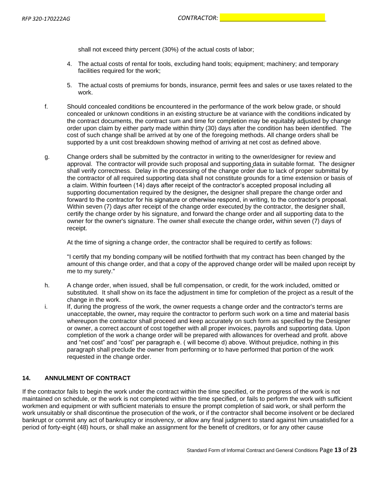shall not exceed thirty percent (30%) of the actual costs of labor;

- 4. The actual costs of rental for tools, excluding hand tools; equipment; machinery; and temporary facilities required for the work;
- 5. The actual costs of premiums for bonds, insurance, permit fees and sales or use taxes related to the work.
- f. Should concealed conditions be encountered in the performance of the work below grade, or should concealed or unknown conditions in an existing structure be at variance with the conditions indicated by the contract documents, the contract sum and time for completion may be equitably adjusted by change order upon claim by either party made within thirty (30) days after the condition has been identified. The cost of such change shall be arrived at by one of the foregoing methods. All change orders shall be supported by a unit cost breakdown showing method of arriving at net cost as defined above.
- g. Change orders shall be submitted by the contractor in writing to the owner/designer for review and approval. The contractor will provide such proposal and supporting data in suitable format. The designer shall verify correctness. Delay in the processing of the change order due to lack of proper submittal by the contractor of all required supporting data shall not constitute grounds for a time extension or basis of a claim. Within fourteen (14) days after receipt of the contractor's accepted proposal including all supporting documentation required by the designer*,* the designer shall prepare the change order and forward to the contractor for his signature or otherwise respond, in writing, to the contractor's proposal. Within seven (7) days after receipt of the change order executed by the contractor, the designer shall, certify the change order by his signature, and forward the change order and all supporting data to the owner for the owner's signature. The owner shall execute the change order*,* within seven (7) days of receipt.

At the time of signing a change order, the contractor shall be required to certify as follows:

"I certify that my bonding company will be notified forthwith that my contract has been changed by the amount of this change order, and that a copy of the approved change order will be mailed upon receipt by me to my surety."

- h. A change order, when issued, shall be full compensation, or credit, for the work included, omitted or substituted. It shall show on its face the adjustment in time for completion of the project as a result of the change in the work.
- i. If, during the progress of the work, the owner requests a change order and the contractor's terms are unacceptable, the owner*,* may require the contractor to perform such work on a time and material basis whereupon the contractor shall proceed and keep accurately on such form as specified by the Designer or owner, a correct account of cost together with all proper invoices, payrolls and supporting data. Upon completion of the work a change order will be prepared with allowances for overhead and profit. above and "net cost" and "cost" per paragraph e. ( will become d) above. Without prejudice, nothing in this paragraph shall preclude the owner from performing or to have performed that portion of the work requested in the change order.

## **14. ANNULMENT OF CONTRACT**

If the contractor fails to begin the work under the contract within the time specified, or the progress of the work is not maintained on schedule, or the work is not completed within the time specified, or fails to perform the work with sufficient workmen and equipment or with sufficient materials to ensure the prompt completion of said work, or shall perform the work unsuitably or shall discontinue the prosecution of the work, or if the contractor shall become insolvent or be declared bankrupt or commit any act of bankruptcy or insolvency, or allow any final judgment to stand against him unsatisfied for a period of forty-eight (48) hours, or shall make an assignment for the benefit of creditors, or for any other cause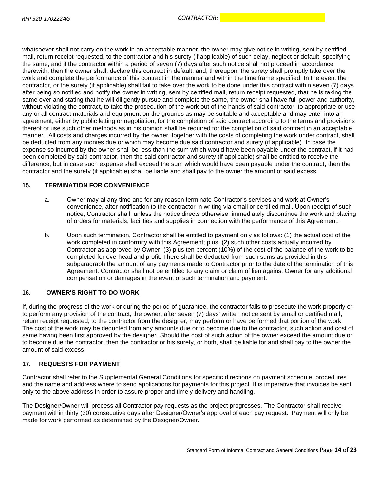whatsoever shall not carry on the work in an acceptable manner, the owner may give notice in writing, sent by certified mail, return receipt requested, to the contractor and his surety (if applicable) of such delay, neglect or default, specifying the same, and if the contractor within a period of seven (7) days after such notice shall not proceed in accordance therewith, then the owner shall, declare this contract in default, and, thereupon, the surety shall promptly take over the work and complete the performance of this contract in the manner and within the time frame specified. In the event the contractor, or the surety (if applicable) shall fail to take over the work to be done under this contract within seven (7) days after being so notified and notify the owner in writing, sent by certified mail, return receipt requested, that he is taking the same over and stating that he will diligently pursue and complete the same, the owner shall have full power and authority, without violating the contract, to take the prosecution of the work out of the hands of said contractor, to appropriate or use any or all contract materials and equipment on the grounds as may be suitable and acceptable and may enter into an agreement, either by public letting or negotiation, for the completion of said contract according to the terms and provisions thereof or use such other methods as in his opinion shall be required for the completion of said contract in an acceptable manner. All costs and charges incurred by the owner, together with the costs of completing the work under contract, shall be deducted from any monies due or which may become due said contractor and surety (if applicable). In case the expense so incurred by the owner shall be less than the sum which would have been payable under the contract, if it had been completed by said contractor, then the said contractor and surety (if applicable) shall be entitled to receive the difference, but in case such expense shall exceed the sum which would have been payable under the contract, then the contractor and the surety (if applicable) shall be liable and shall pay to the owner the amount of said excess.

## **15. TERMINATION FOR CONVENIENCE**

- a. Owner may at any time and for any reason terminate Contractor's services and work at Owner's convenience, after notification to the contractor in writing via email or certified mail. Upon receipt of such notice, Contractor shall, unless the notice directs otherwise, immediately discontinue the work and placing of orders for materials, facilities and supplies in connection with the performance of this Agreement.
- b. Upon such termination, Contractor shall be entitled to payment only as follows: (1) the actual cost of the work completed in conformity with this Agreement; plus, (2) such other costs actually incurred by Contractor as approved by Owner; (3) plus ten percent (10%) of the cost of the balance of the work to be completed for overhead and profit. There shall be deducted from such sums as provided in this subparagraph the amount of any payments made to Contractor prior to the date of the termination of this Agreement. Contractor shall not be entitled to any claim or claim of lien against Owner for any additional compensation or damages in the event of such termination and payment.

### **16. OWNER'S RIGHT TO DO WORK**

If, during the progress of the work or during the period of guarantee, the contractor fails to prosecute the work properly or to perform any provision of the contract, the owner, after seven (7) days' written notice sent by email or certified mail, return receipt requested, to the contractor from the designer, may perform or have performed that portion of the work. The cost of the work may be deducted from any amounts due or to become due to the contractor, such action and cost of same having been first approved by the designer. Should the cost of such action of the owner exceed the amount due or to become due the contractor, then the contractor or his surety, or both, shall be liable for and shall pay to the owner the amount of said excess.

## **17. REQUESTS FOR PAYMENT**

Contractor shall refer to the Supplemental General Conditions for specific directions on payment schedule, procedures and the name and address where to send applications for payments for this project. It is imperative that invoices be sent only to the above address in order to assure proper and timely delivery and handling.

The Designer/Owner will process all Contractor pay requests as the project progresses. The Contractor shall receive payment within thirty (30) consecutive days after Designer/Owner's approval of each pay request. Payment will only be made for work performed as determined by the Designer/Owner.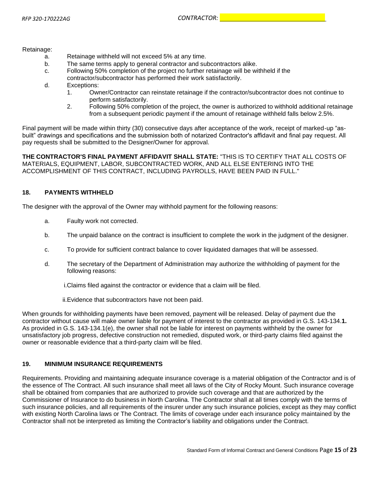Retainage:

- a. Retainage withheld will not exceed 5% at any time.
- b. The same terms apply to general contractor and subcontractors alike.
- c. Following 50% completion of the project no further retainage will be withheld if the contractor/subcontractor has performed their work satisfactorily.
- d. Exceptions:
	- 1. Owner/Contractor can reinstate retainage if the contractor/subcontractor does not continue to perform satisfactorily.
	- 2. Following 50% completion of the project, the owner is authorized to withhold additional retainage from a subsequent periodic payment if the amount of retainage withheld falls below 2.5%.

Final payment will be made within thirty (30) consecutive days after acceptance of the work, receipt of marked-up "asbuilt" drawings and specifications and the submission both of notarized Contractor's affidavit and final pay request. All pay requests shall be submitted to the Designer/Owner for approval.

**THE CONTRACTOR'S FINAL PAYMENT AFFIDAVIT SHALL STATE:** "THIS IS TO CERTIFY THAT ALL COSTS OF MATERIALS, EQUIPMENT, LABOR, SUBCONTRACTED WORK, AND ALL ELSE ENTERING INTO THE ACCOMPLISHMENT OF THIS CONTRACT, INCLUDING PAYROLLS, HAVE BEEN PAID IN FULL."

## **18. PAYMENTS WITHHELD**

The designer with the approval of the Owner may withhold payment for the following reasons:

- a. Faulty work not corrected.
- b. The unpaid balance on the contract is insufficient to complete the work in the judgment of the designer.
- c. To provide for sufficient contract balance to cover liquidated damages that will be assessed.
- d. The secretary of the Department of Administration may authorize the withholding of payment for the following reasons:

i.Claims filed against the contractor or evidence that a claim will be filed.

ii.Evidence that subcontractors have not been paid.

When grounds for withholding payments have been removed, payment will be released. Delay of payment due the contractor without cause will make owner liable for payment of interest to the contractor as provided in G.S. 143-134.**1.** As provided in G.S. 143-134.1(e), the owner shall not be liable for interest on payments withheld by the owner for unsatisfactory job progress, defective construction not remedied, disputed work, or third-party claims filed against the owner or reasonable evidence that a third-party claim will be filed.

## **19. MINIMUM INSURANCE REQUIREMENTS**

Requirements. Providing and maintaining adequate insurance coverage is a material obligation of the Contractor and is of the essence of The Contract. All such insurance shall meet all laws of the City of Rocky Mount. Such insurance coverage shall be obtained from companies that are authorized to provide such coverage and that are authorized by the Commissioner of Insurance to do business in North Carolina. The Contractor shall at all times comply with the terms of such insurance policies, and all requirements of the insurer under any such insurance policies, except as they may conflict with existing North Carolina laws or The Contract. The limits of coverage under each insurance policy maintained by the Contractor shall not be interpreted as limiting the Contractor's liability and obligations under the Contract.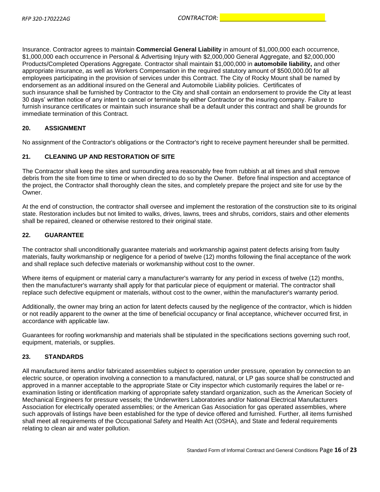Insurance. Contractor agrees to maintain **Commercial General Liability** in amount of \$1,000,000 each occurrence, \$1,000,000 each occurrence in Personal & Advertising Injury with \$2,000,000 General Aggregate, and \$2,000,000 Products/Completed Operations Aggregate. Contractor shall maintain \$1,000,000 in **automobile liability,** and other appropriate insurance, as well as Workers Compensation in the required statutory amount of \$500,000.00 for all employees participating in the provision of services under this Contract. The City of Rocky Mount shall be named by endorsement as an additional insured on the General and Automobile Liability policies. Certificates of such insurance shall be furnished by Contractor to the City and shall contain an endorsement to provide the City at least 30 days' written notice of any intent to cancel or terminate by either Contractor or the insuring company. Failure to furnish insurance certificates or maintain such insurance shall be a default under this contract and shall be grounds for immediate termination of this Contract.

## **20. ASSIGNMENT**

No assignment of the Contractor's obligations or the Contractor's right to receive payment hereunder shall be permitted.

## **21. CLEANING UP AND RESTORATION OF SITE**

The Contractor shall keep the sites and surrounding area reasonably free from rubbish at all times and shall remove debris from the site from time to time or when directed to do so by the Owner. Before final inspection and acceptance of the project, the Contractor shall thoroughly clean the sites, and completely prepare the project and site for use by the Owner.

At the end of construction, the contractor shall oversee and implement the restoration of the construction site to its original state. Restoration includes but not limited to walks, drives, lawns, trees and shrubs, corridors, stairs and other elements shall be repaired, cleaned or otherwise restored to their original state.

## **22. GUARANTEE**

The contractor shall unconditionally guarantee materials and workmanship against patent defects arising from faulty materials, faulty workmanship or negligence for a period of twelve (12) months following the final acceptance of the work and shall replace such defective materials or workmanship without cost to the owner.

Where items of equipment or material carry a manufacturer's warranty for any period in excess of twelve (12) months, then the manufacturer's warranty shall apply for that particular piece of equipment or material. The contractor shall replace such defective equipment or materials, without cost to the owner, within the manufacturer's warranty period.

Additionally, the owner may bring an action for latent defects caused by the negligence of the contractor, which is hidden or not readily apparent to the owner at the time of beneficial occupancy or final acceptance, whichever occurred first, in accordance with applicable law.

Guarantees for roofing workmanship and materials shall be stipulated in the specifications sections governing such roof, equipment, materials, or supplies.

### **23. STANDARDS**

All manufactured items and/or fabricated assemblies subject to operation under pressure, operation by connection to an electric source, or operation involving a connection to a manufactured, natural, or LP gas source shall be constructed and approved in a manner acceptable to the appropriate State or City inspector which customarily requires the label or reexamination listing or identification marking of appropriate safety standard organization, such as the American Society of Mechanical Engineers for pressure vessels; the Underwriters Laboratories and/or National Electrical Manufacturers Association for electrically operated assemblies; or the American Gas Association for gas operated assemblies, where such approvals of listings have been established for the type of device offered and furnished. Further, all items furnished shall meet all requirements of the Occupational Safety and Health Act (OSHA), and State and federal requirements relating to clean air and water pollution.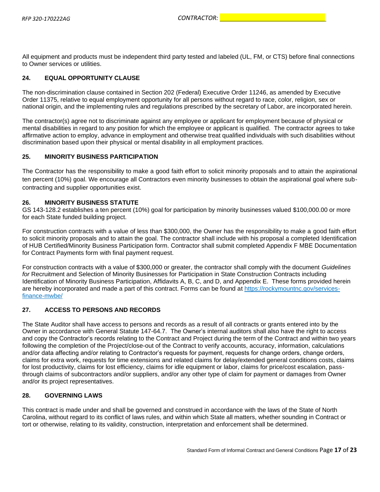All equipment and products must be independent third party tested and labeled (UL, FM, or CTS) before final connections to Owner services or utilities.

## **24. EQUAL OPPORTUNITY CLAUSE**

The non-discrimination clause contained in Section 202 (Federal) Executive Order 11246, as amended by Executive Order 11375, relative to equal employment opportunity for all persons without regard to race, color, religion, sex or national origin, and the implementing rules and regulations prescribed by the secretary of Labor, are incorporated herein.

The contractor(s) agree not to discriminate against any employee or applicant for employment because of physical or mental disabilities in regard to any position for which the employee or applicant is qualified. The contractor agrees to take affirmative action to employ, advance in employment and otherwise treat qualified individuals with such disabilities without discrimination based upon their physical or mental disability in all employment practices.

## **25. MINORITY BUSINESS PARTICIPATION**

The Contractor has the responsibility to make a good faith effort to solicit minority proposals and to attain the aspirational ten percent (10%) goal. We encourage all Contractors even minority businesses to obtain the aspirational goal where subcontracting and supplier opportunities exist.

### **26. MINORITY BUSINESS STATUTE**

GS 143-128.2 establishes a ten percent (10%) goal for participation by minority businesses valued \$100,000.00 or more for each State funded building project.

For construction contracts with a value of less than \$300,000, the Owner has the responsibility to make a good faith effort to solicit minority proposals and to attain the goal. The contractor shall include with his proposal a completed Identification of HUB Certified/Minority Business Participation form. Contractor shall submit completed Appendix F MBE Documentation for Contract Payments form with final payment request.

For construction contracts with a value of \$300,000 or greater, the contractor shall comply with the document *Guidelines for* Recruitment and Selection of Minority Businesses for Participation in State Construction Contracts including Identification of Minority Business Participation, Affidavits A, B, C, and D, and Appendix E. These forms provided herein are hereby incorporated and made a part of this contract. Forms can be found at https://rockymountnc.gov/servicesfinance-mwbe/

### **27. ACCESS TO PERSONS AND RECORDS**

The State Auditor shall have access to persons and records as a result of all contracts or grants entered into by the Owner in accordance with General Statute 147-64.7. The Owner's internal auditors shall also have the right to access and copy the Contractor's records relating to the Contract and Project during the term of the Contract and within two years following the completion of the Project/close-out of the Contract to verify accounts, accuracy, information, calculations and/or data affecting and/or relating to Contractor's requests for payment, requests for change orders, change orders, claims for extra work, requests for time extensions and related claims for delay/extended general conditions costs, claims for lost productivity, claims for lost efficiency, claims for idle equipment or labor, claims for price/cost escalation, passthrough claims of subcontractors and/or suppliers, and/or any other type of claim for payment or damages from Owner and/or its project representatives.

### **28. GOVERNING LAWS**

This contract is made under and shall be governed and construed in accordance with the laws of the State of North Carolina, without regard to its conflict of laws rules, and within which State all matters, whether sounding in Contract or tort or otherwise, relating to its validity, construction, interpretation and enforcement shall be determined.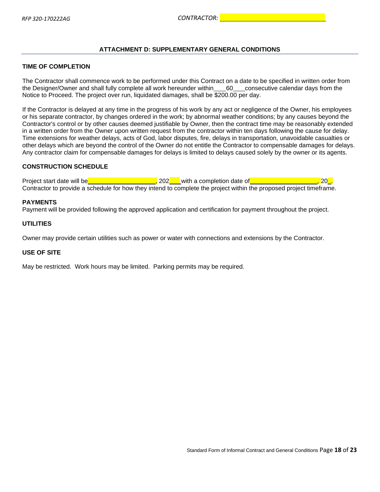## <span id="page-17-0"></span>**ATTACHMENT D: SUPPLEMENTARY GENERAL CONDITIONS**

### **TIME OF COMPLETION**

The Contractor shall commence work to be performed under this Contract on a date to be specified in written order from the Designer/Owner and shall fully complete all work hereunder within 60 consecutive calendar days from the Notice to Proceed. The project over run, liquidated damages, shall be \$200.00 per day.

If the Contractor is delayed at any time in the progress of his work by any act or negligence of the Owner, his employees or his separate contractor, by changes ordered in the work; by abnormal weather conditions; by any causes beyond the Contractor's control or by other causes deemed justifiable by Owner, then the contract time may be reasonably extended in a written order from the Owner upon written request from the contractor within ten days following the cause for delay. Time extensions for weather delays, acts of God, labor disputes, fire, delays in transportation, unavoidable casualties or other delays which are beyond the control of the Owner do not entitle the Contractor to compensable damages for delays. Any contractor claim for compensable damages for delays is limited to delays caused solely by the owner or its agents.

## **CONSTRUCTION SCHEDULE**

Project start date will be **the start of the start of the start of the start date of the start date will be completion date of the start of the start of the start of the start of the start of the start of the start of the** Contractor to provide a schedule for how they intend to complete the project within the proposed project timeframe.

#### **PAYMENTS**

Payment will be provided following the approved application and certification for payment throughout the project.

### **UTILITIES**

Owner may provide certain utilities such as power or water with connections and extensions by the Contractor.

#### **USE OF SITE**

May be restricted. Work hours may be limited. Parking permits may be required.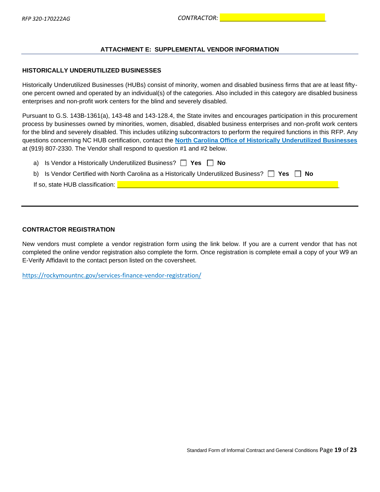## <span id="page-18-0"></span>**ATTACHMENT E: SUPPLEMENTAL VENDOR INFORMATION**

#### **HISTORICALLY UNDERUTILIZED BUSINESSES**

Historically Underutilized Businesses (HUBs) consist of minority, women and disabled business firms that are at least fiftyone percent owned and operated by an individual(s) of the categories. Also included in this category are disabled business enterprises and non-profit work centers for the blind and severely disabled.

Pursuant to G.S. 143B-1361(a), 143-48 and 143-128.4, the State invites and encourages participation in this procurement process by businesses owned by minorities, women, disabled, disabled business enterprises and non-profit work centers for the blind and severely disabled. This includes utilizing subcontractors to perform the required functions in this RFP. Any questions concerning NC HUB certification, contact the **[North Carolina Office of Historically Underutilized Businesses](http://ncadmin.nc.gov/businesses/hub)** at (919) 807-2330. The Vendor shall respond to question #1 and #2 below.

| a) Is Vendor a Historically Underutilized Business? $\Box$ Yes $\Box$ No                                  |
|-----------------------------------------------------------------------------------------------------------|
| b) Is Vendor Certified with North Carolina as a Historically Underutilized Business? $\Box$ Yes $\Box$ No |
| If so, state HUB classification:                                                                          |
|                                                                                                           |

## **CONTRACTOR REGISTRATION**

New vendors must complete a vendor registration form using the link below. If you are a current vendor that has not completed the online vendor registration also complete the form. Once registration is complete email a copy of your W9 an E-Verify Affidavit to the contact person listed on the coversheet.

https://rockymountnc.gov/services-finance-vendor-registration/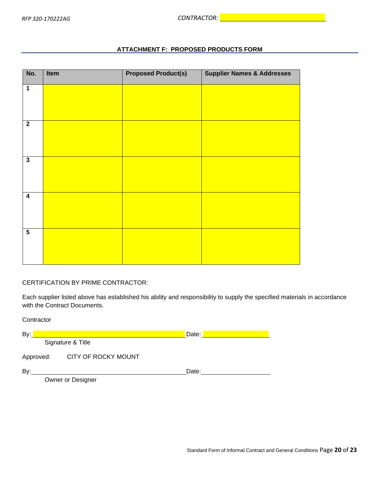## **ATTACHMENT F: PROPOSED PRODUCTS FORM**

<span id="page-19-0"></span>

| No.                     | Item | <b>Proposed Product(s)</b> | <b>Supplier Names &amp; Addresses</b> |
|-------------------------|------|----------------------------|---------------------------------------|
| $\overline{1}$          |      |                            |                                       |
| $\overline{2}$          |      |                            |                                       |
| $\overline{\mathbf{3}}$ |      |                            |                                       |
| $\overline{4}$          |      |                            |                                       |
| $\overline{\mathbf{5}}$ |      |                            |                                       |

## CERTIFICATION BY PRIME CONTRACTOR:

Contractor

Each supplier listed above has established his ability and responsibility to supply the specified materials in accordance with the Contract Documents.

| oviniuvui |                     |       |  |
|-----------|---------------------|-------|--|
| By:       |                     | Date: |  |
|           | Signature & Title   |       |  |
| Approved: | CITY OF ROCKY MOUNT |       |  |
| By:       |                     | Date: |  |
|           | Owner or Designer   |       |  |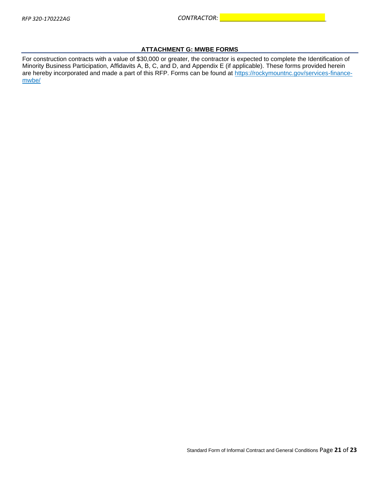## **ATTACHMENT G: MWBE FORMS**

<span id="page-20-0"></span>For construction contracts with a value of \$30,000 or greater, the contractor is expected to complete the Identification of Minority Business Participation, Affidavits A, B, C, and D, and Appendix E (if applicable). These forms provided herein are hereby incorporated and made a part of this RFP. Forms can be found at https://rockymountnc.gov/services-financemwbe/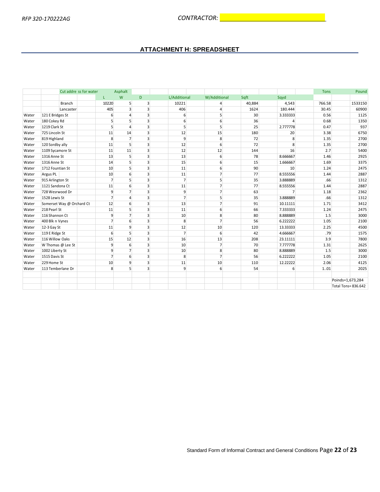## **ATTACHMENT H: SPREADSHEET**

<span id="page-21-0"></span>

|       |                           | Cut addre ss for water | Asphalt          |                         |                  |                  |        |                | <b>Tons</b> | Pound              |
|-------|---------------------------|------------------------|------------------|-------------------------|------------------|------------------|--------|----------------|-------------|--------------------|
|       |                           | L.                     | W                | D                       | L/Additional     | W/Additional     | Sqft   | Sqyd           |             |                    |
|       | <b>Branch</b>             | 10220                  | 5 <sup>1</sup>   | $\overline{3}$          | 10221            | $\overline{4}$   | 40,884 | 4,543          | 766.58      | 1533150            |
|       | Lancaster                 | 405                    | $\overline{3}$   | $\overline{3}$          | 406              | $\overline{4}$   | 1624   | 180.444        | 30.45       | 60900              |
| Water | 121 E Bridges St          | 6                      | $\Delta$         | $\overline{3}$          | $6 \overline{6}$ | $\mathsf{s}$     | 30     | 3.333333       | 0.56        | 1125               |
| Water | 180 Cokey Rd              | 5                      | 5                | 3                       | $6 \overline{6}$ | $6 \overline{6}$ | 36     | $\overline{4}$ | 0.68        | 1350               |
| Water | 1219 Clark St             | $\overline{5}$         | Δ                | 3                       | $\overline{5}$   | 5                | 25     | 2.777778       | 0.47        | 937                |
| Water | 725 Lincoln St            | 11                     | 14               | $\overline{3}$          | 12               | 15               | 180    | 20             | 3.38        | 6750               |
| Water | 819 Highland              | 8                      | $\overline{7}$   | $\overline{\mathbf{3}}$ | $\overline{9}$   | 8 <sup>1</sup>   | 72     | 8              | 1.35        | 2700               |
| Water | 120 Sordby ally           | 11                     | 5                | $\overline{3}$          | 12               | $6 \overline{6}$ | 72     | 8              | 1.35        | 2700               |
| Water | 1109 Sycamore St          | 11                     | 11               | $\overline{3}$          | 12               | 12               | 144    | 16             | 2.7         | 5400               |
| Water | 1316 Anne St              | 13                     | $\overline{5}$   | $\overline{3}$          | 13               | 6                | 78     | 8.666667       | 1.46        | 2925               |
| Water | 1316 Anne St              | 14                     | $\overline{5}$   | $\overline{3}$          | 15               | 6                | 15     | 1.666667       | 1.69        | 3375               |
| Water | 1712 Fountian St          | 10                     | 5 <sup>1</sup>   | $\overline{3}$          | 11               | $6 \overline{6}$ | 90     | 10             | 1.24        | 2475               |
| Water | Argus PL                  | 10                     | 6                | 3                       | 11               | 7 <sup>1</sup>   | 77     | 8.555556       | 1.44        | 2887               |
| Water | 915 Arlington St          | $\overline{7}$         | 5 <sup>1</sup>   | 3                       | $\overline{7}$   | $\mathsf{s}$     | 35     | 3.888889       | .66         | 1312               |
| Water | 1121 Sandona Ct           | 11                     | 6                | 3                       | 11               | $\overline{7}$   | 77     | 8.555556       | 1.44        | 2887               |
| Water | 728 Wesrwood Dr           | $\overline{9}$         | $\overline{7}$   | $\overline{3}$          | $\overline{9}$   | $\overline{7}$   | 63     | $\overline{7}$ | 1.18        | 2362               |
| Water | 1528 Lewis St             | $\overline{7}$         | 4                | $\overline{3}$          | $\overline{7}$   | $\mathsf{s}$     | 35     | 3.888889       | .66         | 1312               |
| Water | Somerset Way @ Orchard Ct | 12                     | $6 \overline{6}$ | 3                       | 13               | $\overline{7}$   | 91     | 10.11111       | 1.71        | 3412               |
| Water | 218 Pearl St              | 11                     | 5                | $\overline{3}$          | 11               | $6 \overline{6}$ | 66     | 7.333333       | 1.24        | 2475               |
| Water | 116 Shannon Ct            | $\overline{9}$         | $\overline{7}$   | $\overline{3}$          | 10               | 8 <sup>1</sup>   | 80     | 8.888889       | 1.5         | 3000               |
| Water | 400 Blk n Vynes           | $\overline{7}$         | $6 \overline{6}$ | 3                       | 8                | $\overline{7}$   | 56     | 6.222222       | 1.05        | 2100               |
| Water | 12-3 Gay St               | 11                     | 9                | $\overline{3}$          | 12               | 10               | 120    | 13.33333       | 2.25        | 4500               |
| Water | 119 E Ridge St            | 6                      | $\overline{5}$   | $\overline{3}$          | $\overline{7}$   | 6                | 42     | 4.666667       | .79         | 1575               |
| Water | 116 Willow Oaks           | 15                     | 12               | $\overline{3}$          | 16               | 13               | 208    | 23.11111       | 3.9         | 7800               |
| Water | W Thomas @ Lee St         | 9                      | 6                | 3                       | 10               | $\overline{7}$   | 70     | 7.777778       | 1.31        | 2625               |
| Water | 1002 Liberty St           | 9                      | $\overline{7}$   | 3                       | 10               | 8 <sup>1</sup>   | 80     | 8.888889       | 1.5         | 3000               |
| Water | 1515 Davis St             | $\overline{7}$         | $6 \overline{6}$ | $\overline{3}$          | 8                | $\overline{7}$   | 56     | 6.222222       | 1.05        | 2100               |
| Water | 229 Home St               | 10                     | 9                | $\overline{3}$          | 11               | 10               | 110    | 12.22222       | 2.06        | 4125               |
| Water | 113 Temberlane Dr         | 8                      | $\overline{5}$   | $\overline{3}$          | $\overline{9}$   | $6 \overline{6}$ | 54     | 6              | 1.01        | 2025               |
|       |                           |                        |                  |                         |                  |                  |        |                |             |                    |
|       |                           |                        |                  |                         |                  |                  |        |                |             | Poinds=1,673,284   |
|       |                           |                        |                  |                         |                  |                  |        |                |             | Total Tons=836.642 |